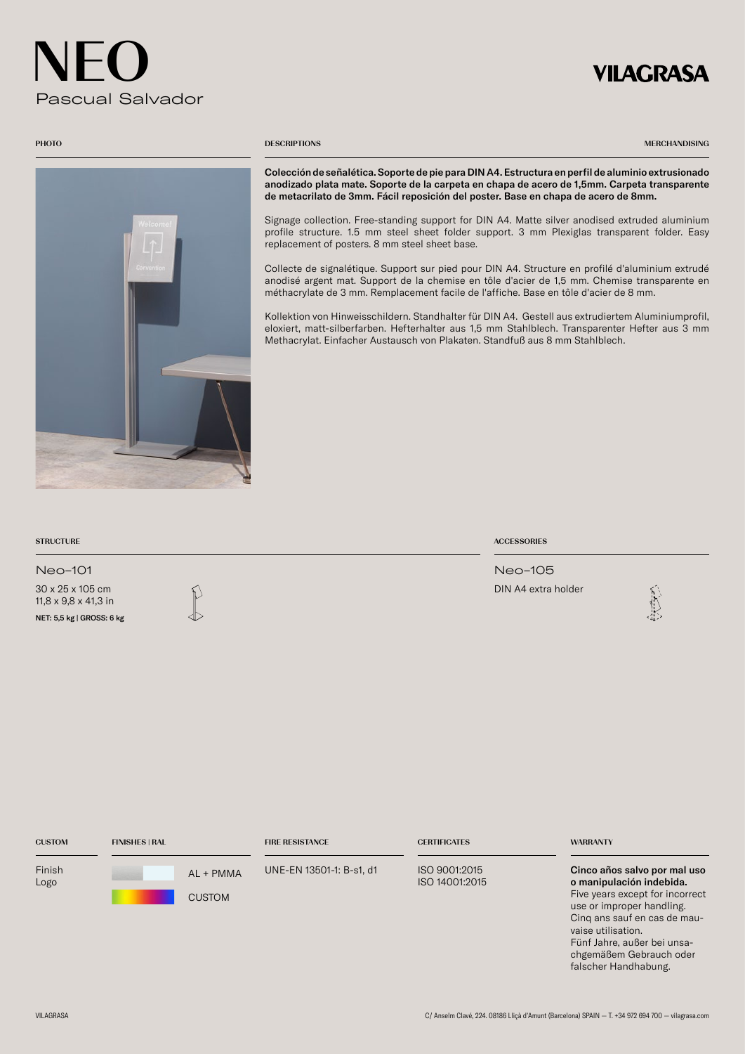## VILAGRASA



### **PHOTO** DESCRIPTIONS

MERCHANDISING

Colección de señalética. Soporte de pie para DIN A4. Estructura en perfil de aluminio extrusionado anodizado plata mate. Soporte de la carpeta en chapa de acero de 1,5mm. Carpeta transparente de metacrilato de 3mm. Fácil reposición del poster. Base en chapa de acero de 8mm.

Signage collection. Free-standing support for DIN A4. Matte silver anodised extruded aluminium profile structure. 1.5 mm steel sheet folder support. 3 mm Plexiglas transparent folder. Easy replacement of posters. 8 mm steel sheet base.

Collecte de signalétique. Support sur pied pour DIN A4. Structure en profilé d'aluminium extrudé anodisé argent mat. Support de la chemise en tôle d'acier de 1,5 mm. Chemise transparente en méthacrylate de 3 mm. Remplacement facile de l'affiche. Base en tôle d'acier de 8 mm.

Kollektion von Hinweisschildern. Standhalter für DIN A4. Gestell aus extrudiertem Aluminiumprofil, eloxiert, matt-silberfarben. Hefterhalter aus 1,5 mm Stahlblech. Transparenter Hefter aus 3 mm Methacrylat. Einfacher Austausch von Plakaten. Standfuß aus 8 mm Stahlblech.

| <b>STRUCTURE</b>                                                      | <b>ACCESSORIES</b>  |   |
|-----------------------------------------------------------------------|---------------------|---|
| Neo-101                                                               | Neo-105             |   |
| 30 x 25 x 105 cm<br>11,8 x 9,8 x 41,3 in<br>NET: 5,5 kg   GROSS: 6 kg | DIN A4 extra holder | 魂 |
|                                                                       |                     |   |

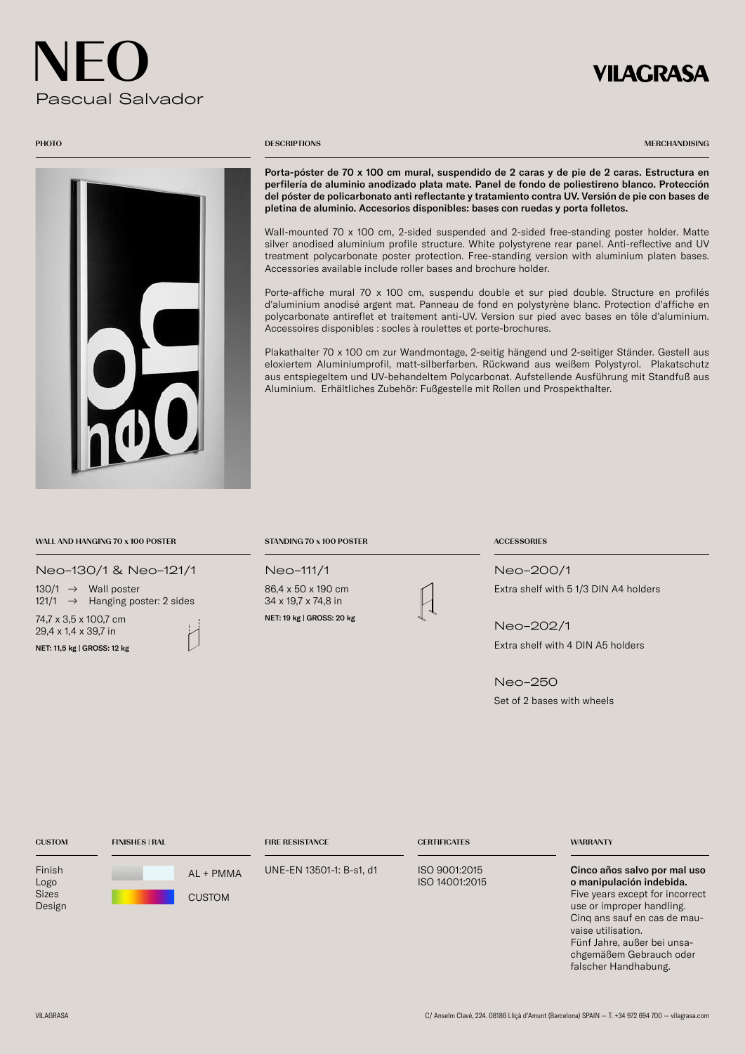## **VILAGRASA**



### **PHOTO** DESCRIPTIONS

MERCHANDISING

Porta-póster de 70 x 100 cm mural, suspendido de 2 caras y de pie de 2 caras. Estructura en perfilería de aluminio anodizado plata mate. Panel de fondo de poliestireno blanco. Protección del póster de policarbonato anti reflectante y tratamiento contra UV. Versión de pie con bases de pletina de aluminio. Accesorios disponibles: bases con ruedas y porta folletos.

Wall-mounted 70 x 100 cm, 2-sided suspended and 2-sided free-standing poster holder. Matte silver anodised aluminium profile structure. White polystyrene rear panel. Anti-reflective and UV treatment polycarbonate poster protection. Free-standing version with aluminium platen bases. Accessories available include roller bases and brochure holder.

Porte-affiche mural 70 x 100 cm, suspendu double et sur pied double. Structure en profilés d'aluminium anodisé argent mat. Panneau de fond en polystyrène blanc. Protection d'affiche en polycarbonate antireflet et traitement anti-UV. Version sur pied avec bases en tôle d'aluminium. Accessoires disponibles : socles à roulettes et porte-brochures.

Plakathalter 70 x 100 cm zur Wandmontage, 2-seitig hängend und 2-seitiger Ständer. Gestell aus eloxiertem Aluminiumprofil, matt-silberfarben. Rückwand aus weißem Polystyrol. Plakatschutz aus entspiegeltem und UV-behandeltem Polycarbonat. Aufstellende Ausführung mit Standfuß aus Aluminium. Erhältliches Zubehör: Fußgestelle mit Rollen und Prospekthalter.

## WALL AND HANGING 70 x 100 POSTER STANDING 70 x 100 POSTER ACCESSORIES

Neo-130/1 & Neo-121/1

74,7 x 3,5 x 100,7 cm 130/1  $\rightarrow$  Wall poster 121/1 → Hanging poster: 2 sides

29,4 x 1,4 x 39,7 in NET: 11,5 kg | GROSS: 12 kg



86,4 x 50 x 190 cm 34 x 19,7 x 74,8 in NET: 19 kg | GROSS: 20 kg



Neo-111/1 Neo-200/1 Extra shelf with 5 1/3 DIN A4 holders

> Neo-202/1 Extra shelf with 4 DIN A5 holders

Neo-250 Set of 2 bases with wheels

| <b>CUSTOM</b>                            | <b>FINISHES   RAL</b>      | <b>FIRE RESISTANCE</b>   | <b>CERTIFICATES</b>             | <b>WARRANTY</b>                                                                                                                                                                                                                                                  |
|------------------------------------------|----------------------------|--------------------------|---------------------------------|------------------------------------------------------------------------------------------------------------------------------------------------------------------------------------------------------------------------------------------------------------------|
| Finish<br>Logo<br><b>Sizes</b><br>Design | AL + PMMA<br><b>CUSTOM</b> | UNE-EN 13501-1: B-s1, d1 | ISO 9001:2015<br>ISO 14001:2015 | Cinco años salvo por mal uso<br>o manipulación indebida.<br>Five years except for incorrect<br>use or improper handling.<br>Cing ans sauf en cas de mau-<br>vaise utilisation.<br>Fünf Jahre, außer bei unsa-<br>chgemäßem Gebrauch oder<br>falscher Handhabung. |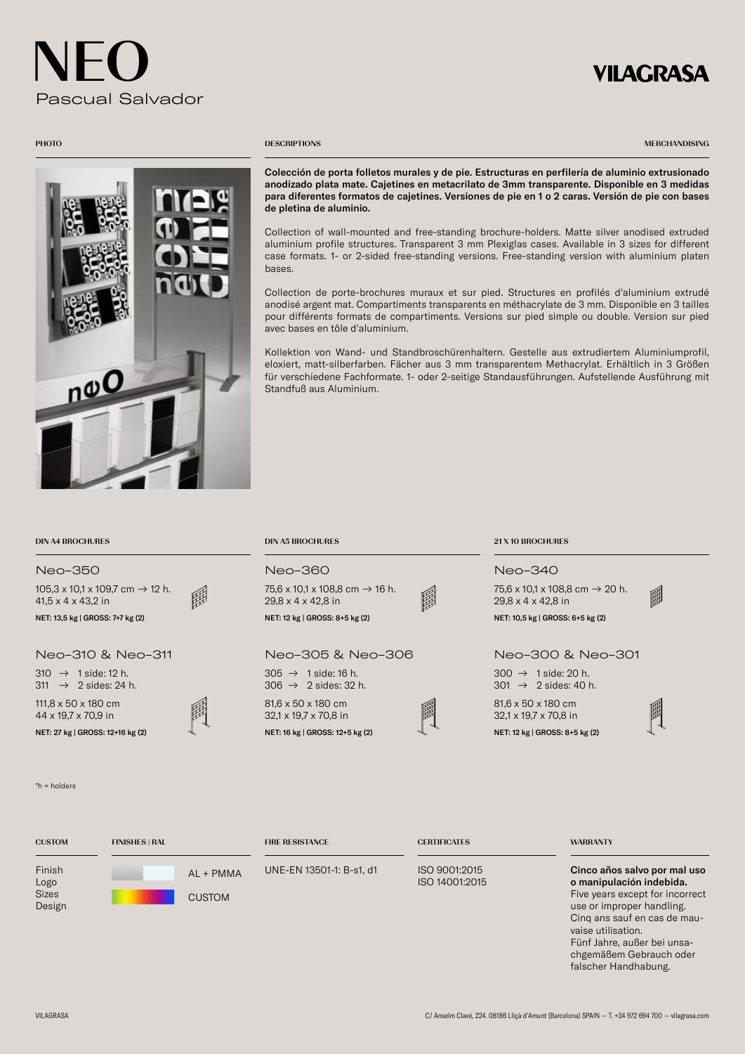## **VILAGRASA**



### **PHOTO** DESCRIPTIONS

MERCHANDISING

Colección de porta folletos murales y de pie. Estructuras en perfilería de aluminio extrusionado anodizado plata mate. Cajetines en metacrilato de 3mm transparente. Disponible en 3 medidas para diferentes formatos de cajetines. Versiones de pie en 1 o 2 caras. Versión de pie con bases de pletina de aluminio.

Collection of wall-mounted and free-standing brochure-holders. Matte silver anodised extruded aluminium profile structures. Transparent 3 mm Plexiglas cases. Available in 3 sizes for different case formats. 1- or 2-sided free-standing versions. Free-standing version with aluminium platen bases.

Collection de porte-brochures muraux et sur pied. Structures en profilés d'aluminium extrudé anodisé argent mat. Compartiments transparents en méthacrylate de 3 mm. Disponible en 3 tailles pour différents formats de compartiments. Versions sur pied simple ou double. Version sur pied avec bases en tôle d'aluminium.

Kollektion von Wand- und Standbroschürenhaltern. Gestelle aus extrudiertem Aluminiumprofil, eloxiert, matt-silberfarben. Fächer aus 3 mm transparentem Methacrylat. Erhältlich in 3 Größen für verschiedene Fachformate. 1- oder 2-seitige Standausführungen. Aufstellende Ausführung mit Standfuß aus Aluminium.

## DIN A4 BROCHURES DIN A5 BROCHURES 21 X 10 BROCHURES

## Neo-350 Neo-360 Neo-340

 $105,3 \times 10,1 \times 109,7 \text{ cm} \rightarrow 12 \text{ h}.$ 41,5 x 4 x 43,2 in

111,8 x 50 x 180 cm 44 x 19,7 x 70,9 in NET: 27 kg | GROSS: 12+16 kg (2)  $\downarrow$  NET: 16 kg | GROSS: 12+5 kg (2) NET: 12 kg | GROSS: 8+5 kg (2)

### \*h = holders

| $105.3 \times 10.1 \times 109.7$ cm $\rightarrow$ 12 h.<br>題<br>$41.5 \times 4 \times 43.2$ in | 75,6 x 10,1 x 108,8 cm $\rightarrow$ 16 h.<br>国<br>$29.8 \times 4 \times 42.8$ in | 75.6 x 10.1 x 108.8 cm $\rightarrow$ 20 h.<br>$29.8 \times 4 \times 42.8$ in |
|------------------------------------------------------------------------------------------------|-----------------------------------------------------------------------------------|------------------------------------------------------------------------------|
| NET: 13,5 kg   GROSS: 7+7 kg (2)                                                               | NET: 12 kg   GROSS: 8+5 kg (2)                                                    | NET: 10,5 kg   GROSS: 6+5 kg (2)                                             |
| Neo-310 & Neo-311                                                                              | Neo-305 & Neo-306                                                                 | Neo-300 & Neo-301                                                            |
| $310 \rightarrow 1$ side: 12 h.<br>311 $\rightarrow$ 2 sides: 24 h.                            | $305 \rightarrow 1$ side: 16 h.<br>$306 \rightarrow 2$ sides: 32 h.               | $300 \rightarrow 1$ side: 20 h.<br>$301 \rightarrow 2$ sides: 40 h.          |
| 111.8 $\times$ 50 $\times$ 180 cm<br>$\overline{11}$ $\overline{107}$ $\overline{700}$         | 81,6 x 50 x 180 cm<br>匾<br>$0.01 \times 10.7 \times 70.0$                         | $81.6 \times 50 \times 180$ cm<br>$0.01 \times 10.7 \times 70.0$             |

32,1 x 19,7 x 70,8 in

75,6 x 10,1 x 108,8 cm → 16 h.



32,1 x 19,7 x 70,8 in



瞬

Fünf Jahre, außer bei unsachgemäßem Gebrauch oder falscher Handhabung.

| <b>CUSTOM</b>                            | <b>FINISHES   RAL</b>        | <b>FIRE RESISTANCE</b>   | <b>CERTIFICATES</b>             | <b>WARRANTY</b>                                                                                                                                                                |
|------------------------------------------|------------------------------|--------------------------|---------------------------------|--------------------------------------------------------------------------------------------------------------------------------------------------------------------------------|
| Finish<br>Logo<br><b>Sizes</b><br>Design | $AL + PMMA$<br><b>CUSTOM</b> | UNE-EN 13501-1: B-s1, d1 | ISO 9001:2015<br>ISO 14001:2015 | Cinco años salvo por mal uso<br>o manipulación indebida.<br>Five years except for incorrect<br>use or improper handling.<br>Cing ans sauf en cas de mau-<br>vaise utilisation. |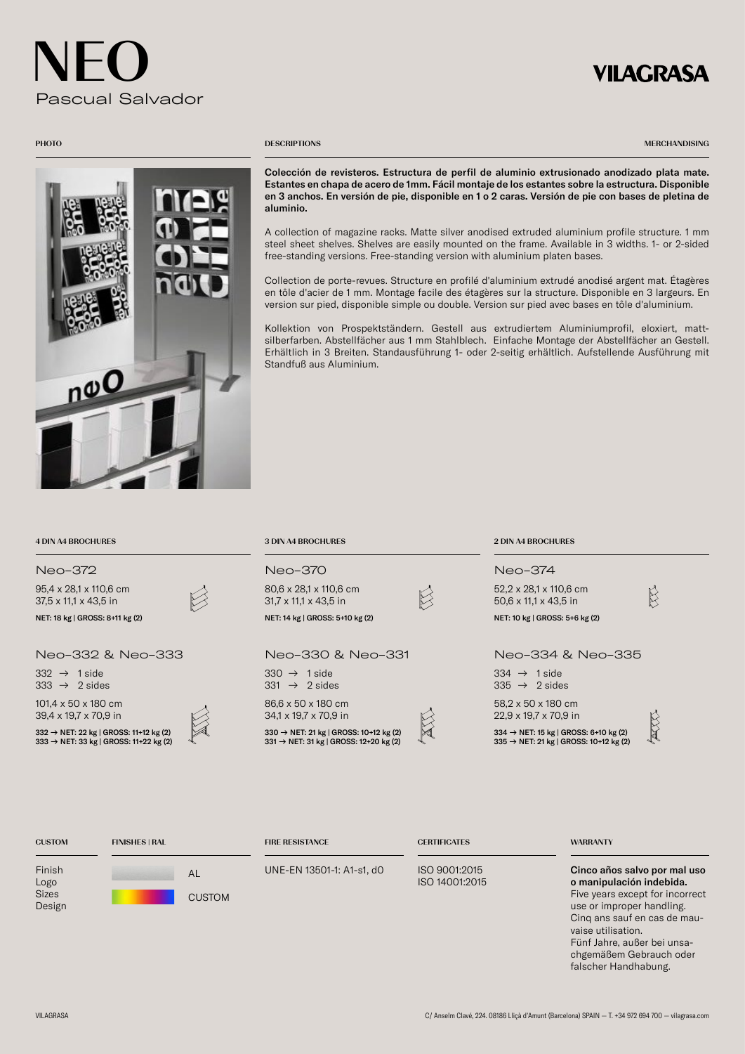## **VILAGRASA**



### **PHOTO** DESCRIPTIONS

MERCHANDISING

Colección de revisteros. Estructura de perfil de aluminio extrusionado anodizado plata mate. Estantes en chapa de acero de 1mm. Fácil montaje de los estantes sobre la estructura. Disponible en 3 anchos. En versión de pie, disponible en 1 o 2 caras. Versión de pie con bases de pletina de aluminio.

A collection of magazine racks. Matte silver anodised extruded aluminium profile structure. 1 mm steel sheet shelves. Shelves are easily mounted on the frame. Available in 3 widths. 1- or 2-sided free-standing versions. Free-standing version with aluminium platen bases.

Collection de porte-revues. Structure en profilé d'aluminium extrudé anodisé argent mat. Étagères en tôle d'acier de 1 mm. Montage facile des étagères sur la structure. Disponible en 3 largeurs. En version sur pied, disponible simple ou double. Version sur pied avec bases en tôle d'aluminium.

Kollektion von Prospektständern. Gestell aus extrudiertem Aluminiumprofil, eloxiert, mattsilberfarben. Abstellfächer aus 1 mm Stahlblech. Einfache Montage der Abstellfächer an Gestell. Erhältlich in 3 Breiten. Standausführung 1- oder 2-seitig erhältlich. Aufstellende Ausführung mit Standfuß aus Aluminium.

| 4 DIN A4 BROCHURES                                                               | <b>3 DIN A4 BROCHURES</b>                                                                                | <b>2 DIN A4 BROCHURES</b>                                                                               |
|----------------------------------------------------------------------------------|----------------------------------------------------------------------------------------------------------|---------------------------------------------------------------------------------------------------------|
| Neo-372                                                                          | Neo-370                                                                                                  | Neo-374                                                                                                 |
| 95,4 x 28,1 x 110,6 cm<br>37.5 x 11.1 x 43.5 in                                  | 80,6 x 28,1 x 110,6 cm<br>$31.7 \times 11.1 \times 43.5$ in                                              | 52,2 x 28,1 x 110,6 cm<br>50,6 x 11,1 x 43,5 in                                                         |
| NET: 18 kg   GROSS: 8+11 kg (2)                                                  | NET: 14 kg   GROSS: 5+10 kg (2)                                                                          | NET: 10 kg   GROSS: 5+6 kg (2)                                                                          |
| Neo-332 & Neo-333                                                                | Neo-330 & Neo-331                                                                                        | Neo-334 & Neo-335                                                                                       |
| 332 $\rightarrow$ 1 side<br>333 $\rightarrow$ 2 sides                            | $330 \rightarrow 1$ side<br>$331 \rightarrow 2$ sides                                                    | $334 \rightarrow 1$ side<br>$335 \rightarrow 2$ sides                                                   |
| 101,4 x 50 x 180 cm<br>39,4 x 19,7 x 70,9 in                                     | 86,6 x 50 x 180 cm<br>34,1 x 19,7 x 70,9 in                                                              | 58,2 x 50 x 180 cm<br>$22.9 \times 19.7 \times 70.9$ in                                                 |
| 332 → NET: 22 kg   GROSS: 11+12 kg (2)<br>333 → NET: 33 kg   GROSS: 11+22 kg (2) | 330 $\rightarrow$ NET: 21 kg   GROSS: 10+12 kg (2)<br>$331 \rightarrow$ NET: 31 kg   GROSS: 12+20 kg (2) | 334 $\rightarrow$ NET: 15 kg   GROSS: 6+10 kg (2)<br>$335 \rightarrow$ NET: 21 kg   GROSS: 10+12 kg (2) |

| <b>CUSTOM</b>                            | <b>FINISHES   RAL</b> | <b>FIRE RESISTANCE</b>    | <b>CERTIFICATES</b>             | <b>WARRANTY</b>                                                                                                                                                                                               |
|------------------------------------------|-----------------------|---------------------------|---------------------------------|---------------------------------------------------------------------------------------------------------------------------------------------------------------------------------------------------------------|
| Finish<br>Logo<br><b>Sizes</b><br>Design | AL<br><b>CUSTOM</b>   | UNE-EN 13501-1: A1-s1, d0 | ISO 9001:2015<br>ISO 14001:2015 | Cinco años salvo por mal uso<br>o manipulación indebida.<br>Five years except for incorrect<br>use or improper handling.<br>Cing ans sauf en cas de mau-<br>vaise utilisation.<br>Fünf Jahre, außer bei unsa- |

chgemäßem Gebrauch oder falscher Handhabung.

 $95,4 x$ 37,5  $\times$ 

 $101.4 x$  $39.4 x$ 

 $332 333 -$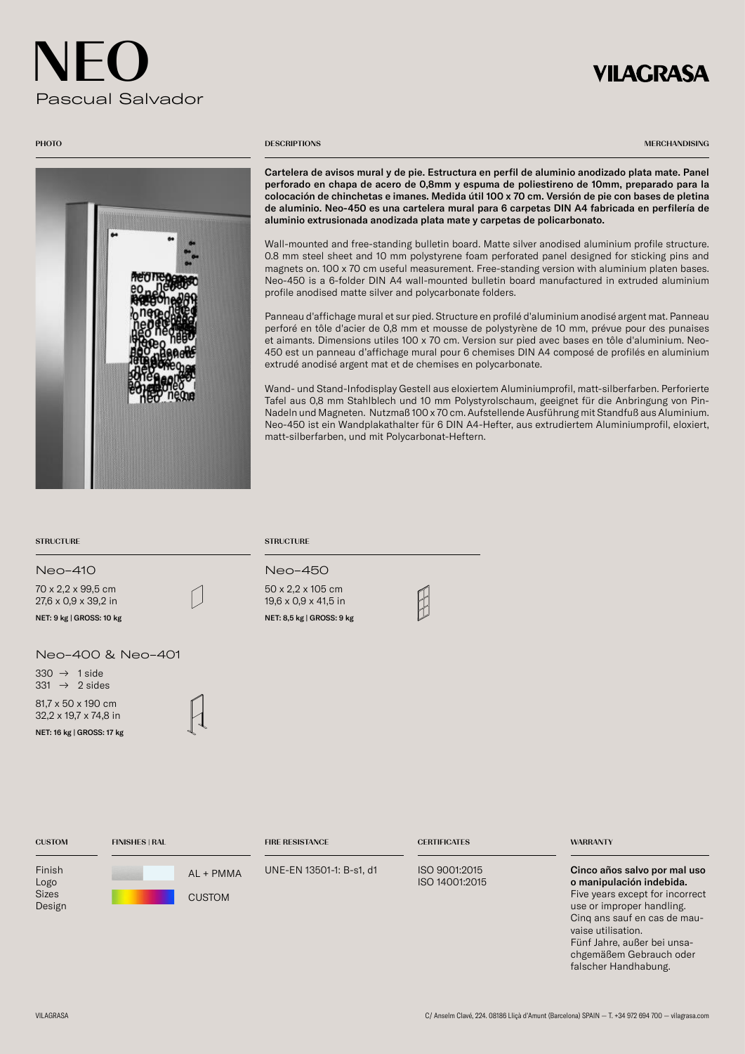## **VILAGRASA**



## **PHOTO** DESCRIPTIONS

MERCHANDISING

Cartelera de avisos mural y de pie. Estructura en perfil de aluminio anodizado plata mate. Panel perforado en chapa de acero de 0,8mm y espuma de poliestireno de 10mm, preparado para la colocación de chinchetas e imanes. Medida útil 100 x 70 cm. Versión de pie con bases de pletina de aluminio. Neo-450 es una cartelera mural para 6 carpetas DIN A4 fabricada en perfilería de aluminio extrusionada anodizada plata mate y carpetas de policarbonato.

Wall-mounted and free-standing bulletin board. Matte silver anodised aluminium profile structure. 0.8 mm steel sheet and 10 mm polystyrene foam perforated panel designed for sticking pins and magnets on. 100 x 70 cm useful measurement. Free-standing version with aluminium platen bases. Neo-450 is a 6-folder DIN A4 wall-mounted bulletin board manufactured in extruded aluminium profile anodised matte silver and polycarbonate folders.

Panneau d'affichage mural et sur pied. Structure en profilé d'aluminium anodisé argent mat. Panneau perforé en tôle d'acier de 0,8 mm et mousse de polystyrène de 10 mm, prévue pour des punaises et aimants. Dimensions utiles 100 x 70 cm. Version sur pied avec bases en tôle d'aluminium. Neo-450 est un panneau d'affichage mural pour 6 chemises DIN A4 composé de profilés en aluminium extrudé anodisé argent mat et de chemises en polycarbonate.

Wand- und Stand-Infodisplay Gestell aus eloxiertem Aluminiumprofil, matt-silberfarben. Perforierte Tafel aus 0,8 mm Stahlblech und 10 mm Polystyrolschaum, geeignet für die Anbringung von Pin-Nadeln und Magneten. Nutzmaß 100 x 70 cm. Aufstellende Ausführung mit Standfuß aus Aluminium. Neo-450 ist ein Wandplakathalter für 6 DIN A4-Hefter, aus extrudiertem Aluminiumprofil, eloxiert, matt-silberfarben, und mit Polycarbonat-Heftern.

### STRUCTURE STRUCTURE STRUCTURE

70 x 2,2 x 99,5 cm 27,6 x 0,9 x 39,2 in NET: 9 kg | GROSS: 10 kg NET: 8,5 kg | GROSS: 9 kg

Neo-400 & Neo-401

81,7 x 50 x 190 cm 32,2 x 19,7 x 74,8 in NET: 16 kg | GROSS: 17 kg  $330 \rightarrow 1$  side  $331 \rightarrow 2$  sides

## Neo-410 Neo-450

50 x 2,2 x 105 cm 19,6 x 0,9 x 41,5 in

| <b>CUSTOM</b>                            | <b>FINISHES   RAL</b>      | <b>FIRE RESISTANCE</b>   | <b>CERTIFICATES</b>             | <b>WARRANTY</b>                                                                                                                                                                                                                          |
|------------------------------------------|----------------------------|--------------------------|---------------------------------|------------------------------------------------------------------------------------------------------------------------------------------------------------------------------------------------------------------------------------------|
| Finish<br>Logo<br><b>Sizes</b><br>Design | AL + PMMA<br><b>CUSTOM</b> | UNE-EN 13501-1: B-s1, d1 | ISO 9001:2015<br>ISO 14001:2015 | Cinco años salvo por mal uso<br>o manipulación indebida.<br>Five years except for incorrect<br>use or improper handling.<br>Cing ans sauf en cas de mau-<br>vaise utilisation.<br>Fünf Jahre, außer bei unsa-<br>chgemäßem Gebrauch oder |

falscher Handhabung.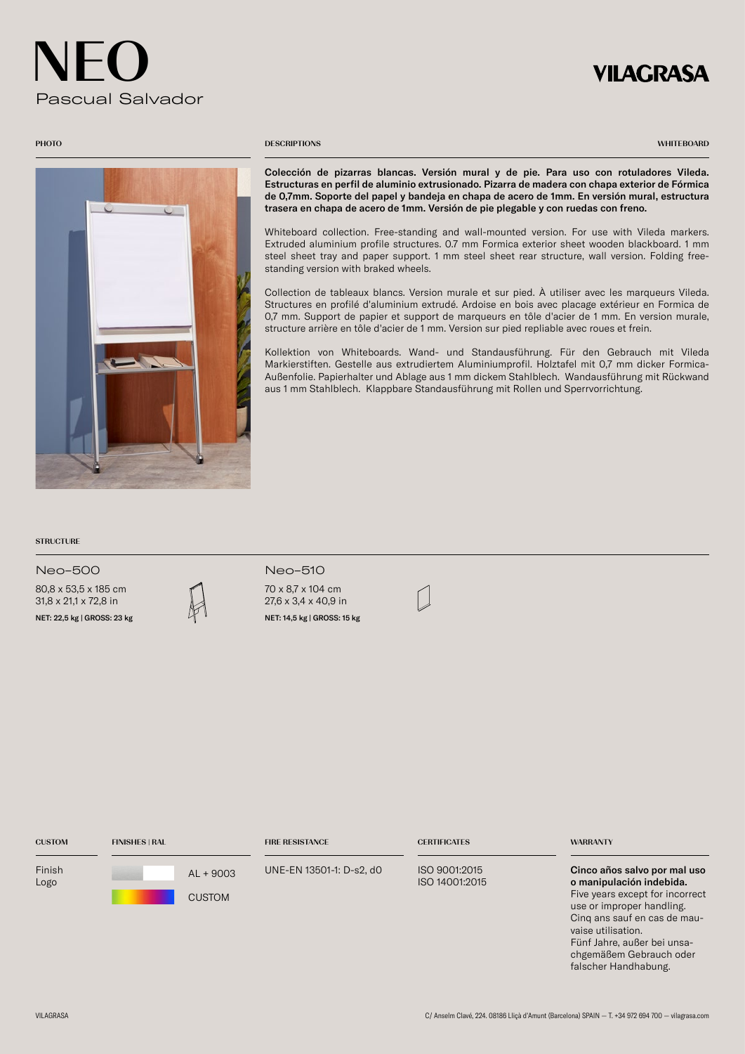## **VILAGRASA**



### **PHOTO** DESCRIPTIONS

**WHITEBOARD** 

Colección de pizarras blancas. Versión mural y de pie. Para uso con rotuladores Vileda. Estructuras en perfil de aluminio extrusionado. Pizarra de madera con chapa exterior de Fórmica de 0,7mm. Soporte del papel y bandeja en chapa de acero de 1mm. En versión mural, estructura trasera en chapa de acero de 1mm. Versión de pie plegable y con ruedas con freno.

Whiteboard collection. Free-standing and wall-mounted version. For use with Vileda markers. Extruded aluminium profile structures. 0.7 mm Formica exterior sheet wooden blackboard. 1 mm steel sheet tray and paper support. 1 mm steel sheet rear structure, wall version. Folding freestanding version with braked wheels.

Collection de tableaux blancs. Version murale et sur pied. À utiliser avec les marqueurs Vileda. Structures en profilé d'aluminium extrudé. Ardoise en bois avec placage extérieur en Formica de 0,7 mm. Support de papier et support de marqueurs en tôle d'acier de 1 mm. En version murale, structure arrière en tôle d'acier de 1 mm. Version sur pied repliable avec roues et frein.

Kollektion von Whiteboards. Wand- und Standausführung. Für den Gebrauch mit Vileda Markierstiften. Gestelle aus extrudiertem Aluminiumprofil. Holztafel mit 0,7 mm dicker Formica-Außenfolie. Papierhalter und Ablage aus 1 mm dickem Stahlblech. Wandausführung mit Rückwand aus 1 mm Stahlblech. Klappbare Standausführung mit Rollen und Sperrvorrichtung.

## **STRUCTURE**

Neo-500 Neo-510

80,8 x 53,5 x 185 cm 31,8 x 21,1 x 72,8 in

NET: 22,5 kg | GROSS: 23 kg  $\mathbb{N}$  NET: 14,5 kg | GROSS: 15 kg

| INU-JIV                                               |
|-------------------------------------------------------|
| 70 x 8,7 x 104 cm<br>$27.6 \times 3.4 \times 40.9$ in |
|                                                       |

| <b>CUSTOM</b>  | <b>FINISHES   RAL</b>        | <b>FIRE RESISTANCE</b>   | <b>CERTIFICATES</b>             | <b>WARRANTY</b>                                                                                                                                                                                                                                                  |
|----------------|------------------------------|--------------------------|---------------------------------|------------------------------------------------------------------------------------------------------------------------------------------------------------------------------------------------------------------------------------------------------------------|
| Finish<br>Logo | $AL + 9003$<br><b>CUSTOM</b> | UNE-EN 13501-1: D-s2, d0 | ISO 9001:2015<br>ISO 14001:2015 | Cinco años salvo por mal uso<br>o manipulación indebida.<br>Five years except for incorrect<br>use or improper handling.<br>Cing ans sauf en cas de mau-<br>vaise utilisation.<br>Fünf Jahre, außer bei unsa-<br>chgemäßem Gebrauch oder<br>falscher Handhabung. |